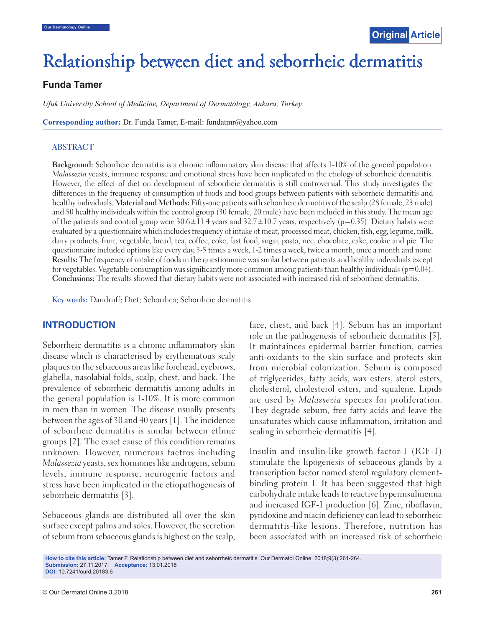# Relationship between diet and seborrheic dermatitis

## **Funda Tamer**

*Ufuk University School of Medicine, Department of Dermatology, Ankara, Turkey*

**Corresponding author:** Dr. Funda Tamer, E-mail: fundatmr@yahoo.com

#### **ABSTRACT**

**Background:** Seborrheic dermatitis is a chronic inflammatory skin disease that affects 1-10% of the general population. Malassezia yeasts, immune response and emotional stress have been implicated in the etiology of seborrheic dermatitis. However, the effect of diet on development of seborrheic dermatitis is still controversial. This study investigates the differences in the frequency of consumption of foods and food groups between patients with seborrheic dermatitis and healthy individuals. **Material and Methods:** Fifty-one patients with seborrheic dermatitis of the scalp (28 female, 23 male) and 50 healthy individuals within the control group (30 female, 20 male) have been included in this study. The mean age of the patients and control group were 30.6±11.4 years and 32.7±10.7 years, respectively (p=0.35). Dietary habits were evaluated by a questionnaire which includes frequency of intake of meat, processed meat, chicken, fish, egg, legume, milk, dairy products, fruit, vegetable, bread, tea, coffee, coke, fast food, sugar, pasta, rice, chocolate, cake, cookie and pie. The questionnaire included options like every day, 3-5 times a week, 1-2 times a week, twice a month, once a month and none. **Results:** The frequency of intake of foods in the questionnaire was simlar between patients and healthy individuals except for vegetables. Vegetable consumption was significantly more common among patients than healthy individuals ( $p=0.04$ ). **Conclusions:** The results showed that dietary habits were not associated with increased risk of seborrheic dermatitis.

**Key words:** Dandruff; Diet; Seborrhea; Seborrheic dermatitis

### **INTRODUCTION**

Seborrheic dermatitis is a chronic inflammatory skin disease which is characterised by erythematous scaly plaques on the sebaceous areas like forehead, eyebrows, glabella, nasolabial folds, scalp, chest, and back. The prevalence of seborrheic dermatitis among adults in the general population is 1-10%. It is more common in men than in women. The disease usually presents between the ages of 30 and 40 years [1]. The incidence of seborrheic dermatitis is similar between ethnic groups [2]. The exact cause of this condition remains unknown. However, numerous factros including Malassezia yeasts, sex hormones like androgens, sebum levels, immune response, neurogenic factors and stress have been implicated in the etiopathogenesis of seborrheic dermatitis [3].

Sebaceous glands are distributed all over the skin surface except palms and soles. However, the secretion of sebum from sebaceous glands is highest on the scalp, face, chest, and back [4]. Sebum has an important role in the pathogenesis of seborrheic dermatitis [5]. It maintainces epidermal barrier function, carries anti-oxidants to the skin surface and protects skin from microbial colonization. Sebum is composed of triglycerides, fatty acids, wax esters, sterol esters, cholesterol, cholesterol esters, and squalene. Lipids are used by Malassezia species for proliferation. They degrade sebum, free fatty acids and leave the unsaturates which cause inflammation, irritation and scaling in seborrheic dermatitis [4].

Insulin and insulin-like growth factor-1 (IGF-1) stimulate the lipogenesis of sebaceous glands by a transcription factor named sterol regulatory elementbinding protein 1. It has been suggested that high carbohydrate intake leads to reactive hyperinsulinemia and increased IGF-1 production [6]. Zinc, riboflavin, pyridoxine and niacin deficiency can lead to seborrheic dermatitis-like lesions. Therefore, nutrition has been associated with an increased risk of seborrheic

**How to cite this article:** Tamer F. Relationship between diet and seborrheic dermatitis. Our Dermatol Online. 2018;9(3):261-264. **Submission:** 27.11.2017; **Acceptance:** 13.01.2018 **DOI:** 10.7241/ourd.20183.6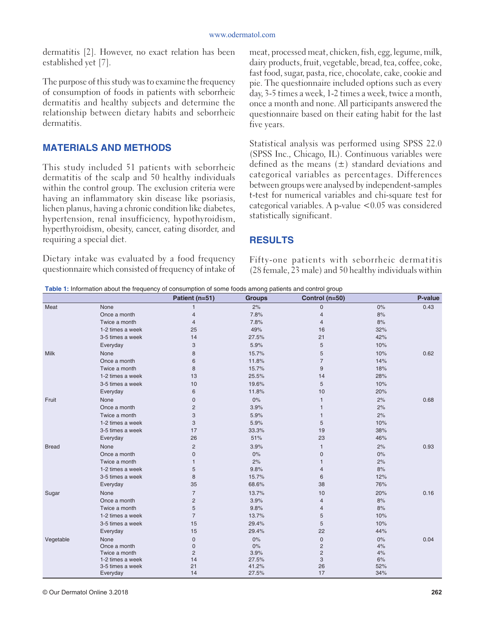dermatitis [2]. However, no exact relation has been established yet [7].

The purpose of this study was to examine the frequency of consumption of foods in patients with seborrheic dermatitis and healthy subjects and determine the relationship between dietary habits and seborrheic dermatitis.

## **MATERIALS AND METHODS**

This study included 51 patients with seborrheic dermatitis of the scalp and 50 healthy individuals within the control group. The exclusion criteria were having an inflammatory skin disease like psoriasis, lichen planus, having a chronic condition like diabetes, hypertension, renal insufficiency, hypothyroidism, hyperthyroidism, obesity, cancer, eating disorder, and requiring a special diet.

Dietary intake was evaluated by a food frequency questionnaire which consisted of frequency of intake of

meat, processed meat, chicken, fish, egg, legume, milk, dairy products, fruit, vegetable, bread, tea, coffee, coke, fast food, sugar, pasta, rice, chocolate, cake, cookie and pie. The questionnaire included options such as every day, 3-5 times a week, 1-2 times a week, twice a month, once a month and none. All participants answered the questionnaire based on their eating habit for the last five years.

Statistical analysis was performed using SPSS 22.0 (SPSS Inc., Chicago, IL). Continuous variables were defined as the means  $(\pm)$  standard deviations and categorical variables as percentages. Differences between groups were analysed by independent-samples t-test for numerical variables and chi-square test for categorical variables. A p-value <0.05 was considered statistically significant.

## **RESULTS**

Fifty-one patients with seborrheic dermatitis (28 female, 23 male) and 50 healthy individuals within

**Table 1:** Information about the frequency of consumption of some foods among patients and control group

|              |                              | Patient (n=51) | ັ່<br><b>Groups</b> | Control (n=50) |            | P-value |
|--------------|------------------------------|----------------|---------------------|----------------|------------|---------|
| Meat         | None                         | $\mathbf{1}$   | 2%                  | $\mathbf 0$    | 0%         | 0.43    |
|              | Once a month                 | $\overline{4}$ | 7.8%                | $\overline{4}$ | 8%         |         |
|              | Twice a month                | $\overline{4}$ | 7.8%                | $\overline{4}$ | 8%         |         |
|              | 1-2 times a week             | 25             | 49%                 | 16             | 32%        |         |
|              | 3-5 times a week             | 14             | 27.5%               | 21             | 42%        |         |
|              | Everyday                     | 3              | 5.9%                | 5              | 10%        |         |
| Milk         | None                         | 8              | 15.7%               | 5              | 10%        | 0.62    |
|              | Once a month                 | 6              | 11.8%               | $\overline{7}$ | 14%        |         |
|              | Twice a month                | 8              | 15.7%               | $9\,$          | 18%        |         |
|              | 1-2 times a week             | 13             | 25.5%               | 14             | 28%        |         |
|              | 3-5 times a week             | 10             | 19.6%               | 5              | 10%        |         |
|              | Everyday                     | 6              | 11.8%               | 10             | 20%        |         |
| Fruit        | None                         | $\mathbf{0}$   | 0%                  | $\mathbf{1}$   | 2%         | 0.68    |
|              | Once a month                 | $\overline{c}$ | 3.9%                | $\mathbf{1}$   | 2%         |         |
|              | Twice a month                | 3              | 5.9%                | $\mathbf{1}$   | 2%         |         |
|              | 1-2 times a week             | 3              | 5.9%                | 5              | 10%        |         |
|              | 3-5 times a week             | 17             | 33.3%               | 19             | 38%        |         |
|              | Everyday                     | 26             | 51%                 | 23             | 46%        |         |
| <b>Bread</b> | None                         | $\overline{c}$ | 3.9%                | $\mathbf{1}$   | 2%         | 0.93    |
|              | Once a month                 | $\mathsf 0$    | 0%                  | $\mathbf 0$    | $0\%$      |         |
|              | Twice a month                | 1              | 2%                  | $\mathbf{1}$   | 2%         |         |
|              | 1-2 times a week             | 5              | 9.8%                | 4              | 8%         |         |
|              | 3-5 times a week             | 8              | 15.7%               | 6              | 12%        |         |
|              | Everyday                     | 35             | 68.6%               | 38             | 76%        |         |
| Sugar        | None                         | $\overline{7}$ | 13.7%               | 10             | 20%        | 0.16    |
|              | Once a month                 | $\overline{c}$ | 3.9%                | $\overline{4}$ | 8%         |         |
|              | Twice a month                | 5              | 9.8%                | 4              | 8%         |         |
|              | 1-2 times a week             | $\overline{7}$ | 13.7%               | 5              | 10%        |         |
|              | 3-5 times a week             | 15             | 29.4%               | 5              | 10%        |         |
|              | Everyday                     | 15             | 29.4%               | 22             | 44%        |         |
| Vegetable    | None                         | $\overline{0}$ | 0%                  | $\pmb{0}$      | $0\%$      | 0.04    |
|              | Once a month                 | $\mathsf 0$    | 0%                  | $\overline{c}$ | 4%         |         |
|              | Twice a month                | $\overline{2}$ | 3.9%                | $\overline{c}$ | 4%         |         |
|              | 1-2 times a week             | 14             | 27.5%               | 3              | 6%         |         |
|              | 3-5 times a week<br>Everyday | 21<br>14       | 41.2%<br>27.5%      | 26<br>17       | 52%<br>34% |         |
|              |                              |                |                     |                |            |         |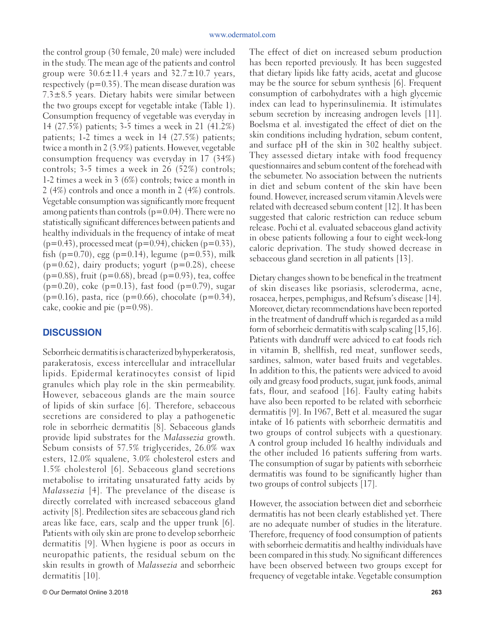the control group (30 female, 20 male) were included in the study. The mean age of the patients and control group were  $30.6 \pm 11.4$  years and  $32.7 \pm 10.7$  years, respectively (p=0.35). The mean disease duration was  $7.3\pm8.5$  years. Dietary habits were similar between the two groups except for vegetable intake (Table 1). Consumption frequency of vegetable was everyday in 14 (27.5%) patients; 3-5 times a week in 21 (41.2%) patients; 1-2 times a week in 14 (27.5%) patients; twice a month in 2 (3.9%) patients. However, vegetable consumption frequency was everyday in 17 (34%) controls; 3-5 times a week in 26 (52%) controls; 1-2 times a week in 3 (6%) controls; twice a month in 2 (4%) controls and once a month in 2 (4%) controls. Vegetable consumption was significantly more frequent among patients than controls  $(p=0.04)$ . There were no statistically significant differences between patients and healthy individuals in the frequency of intake of meat  $(p=0.43)$ , processed meat  $(p=0.94)$ , chicken  $(p=0.33)$ , fish ( $p=0.70$ ), egg ( $p=0.14$ ), legume ( $p=0.53$ ), milk  $(p=0.62)$ , dairy products; yogurt  $(p=0.28)$ , cheese  $(p=0.88)$ , fruit  $(p=0.68)$ , bread  $(p=0.93)$ , tea, coffee  $(p=0.20)$ , coke  $(p=0.13)$ , fast food  $(p=0.79)$ , sugar  $(p=0.16)$ , pasta, rice  $(p=0.66)$ , chocolate  $(p=0.34)$ , cake, cookie and pie  $(p=0.98)$ .

### **DISCUSSION**

Seborrheic dermatitis is characterized byhyperkeratosis, parakeratosis, excess intercellular and intracellular lipids. Epidermal keratinocytes consist of lipid granules which play role in the skin permeability. However, sebaceous glands are the main source of lipids of skin surface [6]. Therefore, sebaceous secretions are considered to play a pathogenetic role in seborrheic dermatitis [8]. Sebaceous glands provide lipid substrates for the Malassezia growth. Sebum consists of 57.5% triglycerides, 26.0% wax esters, 12.0% squalene, 3.0% cholesterol esters and 1.5% cholesterol [6]. Sebaceous gland secretions metabolise to irritating unsaturated fatty acids by Malassezia [4]. The prevelance of the disease is directly correlated with increased sebaceous gland activity [8]. Predilection sites are sebaceous gland rich areas like face, ears, scalp and the upper trunk [6]. Patients with oily skin are prone to develop seborrheic dermatitis [9]. When hygiene is poor as occurs in neuropathic patients, the residual sebum on the skin results in growth of Malassezia and seborrheic dermatitis [10].

The effect of diet on increased sebum production has been reported previously. It has been suggested that dietary lipids like fatty acids, acetat and glucose may be the source for sebum synthesis [6]. Frequent consumption of carbohydrates with a high glycemic index can lead to hyperinsulinemia. It istimulates sebum secretion by increasing androgen levels [11]. Boelsma et al. investigated the effect of diet on the skin conditions including hydration, sebum content, and surface pH of the skin in 302 healthy subject. They assessed dietary intake with food frequency questionnaires and sebum content of the forehead with the sebumeter. No association between the nutrients in diet and sebum content of the skin have been found. However, increased serum vitamin A levels were related with decreased sebum content [12]. It has been suggested that caloric restriction can reduce sebum release. Pochi et al. evaluated sebaceous gland activity in obese patients following a four to eight week-long caloric deprivation. The study showed decrease in sebaceous gland secretion in all patients [13].

Dietary changes shown to be benefical in the treatment of skin diseases like psoriasis, scleroderma, acne, rosacea, herpes, pemphigus, and Refsum's disease [14]. Moreover, dietary recommendations have been reported in the treatment of dandruff which is regarded as a mild form of seborrheic dermatitis with scalp scaling [15,16]. Patients with dandruff were adviced to eat foods rich in vitamin B, shellfish, red meat, sunflower seeds, sardines, salmon, water based fruits and vegetables. In addition to this, the patients were adviced to avoid oily and greasy food products, sugar, junk foods, animal fats, flour, and seafood [16]. Faulty eating habits have also been reported to be related with seborrheic dermatitis [9]. In 1967, Bett et al. measured the sugar intake of 16 patients with seborrheic dermatitis and two groups of control subjects with a questionary. A control group included 16 healthy individuals and the other included 16 patients suffering from warts. The consumption of sugar by patients with seborrheic dermatitis was found to be significantly higher than two groups of control subjects [17].

However, the association between diet and seborrheic dermatitis has not been clearly established yet. There are no adequate number of studies in the literature. Therefore, frequency of food consumption of patients with seborrheic dermatitis and healthy individuals have been compared in this study. No significant differences have been observed between two groups except for frequency of vegetable intake. Vegetable consumption